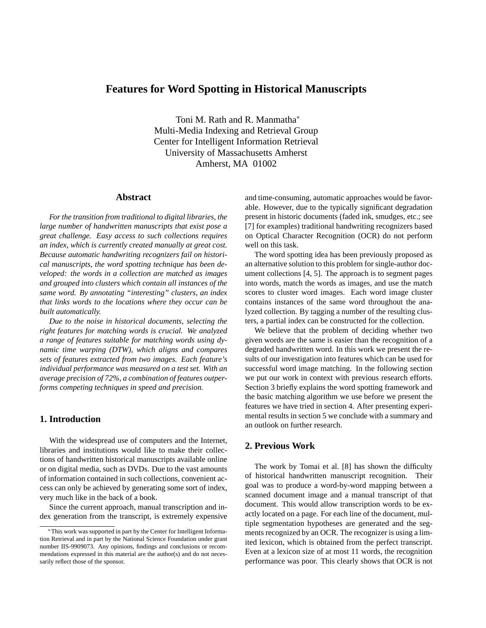# **Features for Word Spotting in Historical Manuscripts**

Toni M. Rath and R. Manmatha<sup>∗</sup> Multi-Media Indexing and Retrieval Group Center for Intelligent Information Retrieval University of Massachusetts Amherst Amherst, MA 01002

#### **Abstract**

*For the transition from traditional to digital libraries, the large number of handwritten manuscripts that exist pose a great challenge. Easy access to such collections requires an index, which is currently created manually at great cost. Because automatic handwriting recognizers fail on historical manuscripts, the word spotting technique has been developed: the words in a collection are matched as images and grouped into clusters which contain all instances of the same word. By annotating "interesting" clusters, an index that links words to the locations where they occur can be built automatically.*

*Due to the noise in historical documents, selecting the right features for matching words is crucial. We analyzed a range of features suitable for matching words using dynamic time warping (DTW), which aligns and compares sets of features extracted from two images. Each feature's individual performance was measured on a test set. With an average precision of 72%, a combination of features outperforms competing techniques in speed and precision.*

## **1. Introduction**

With the widespread use of computers and the Internet, libraries and institutions would like to make their collections of handwritten historical manuscripts available online or on digital media, such as DVDs. Due to the vast amounts of information contained in such collections, convenient access can only be achieved by generating some sort of index, very much like in the back of a book.

Since the current approach, manual transcription and index generation from the transcript, is extremely expensive and time-consuming, automatic approaches would be favorable. However, due to the typically significant degradation present in historic documents (faded ink, smudges, etc.; see [7] for examples) traditional handwriting recognizers based on Optical Character Recognition (OCR) do not perform well on this task.

The word spotting idea has been previously proposed as an alternative solution to this problem for single-author document collections [4, 5]. The approach is to segment pages into words, match the words as images, and use the match scores to cluster word images. Each word image cluster contains instances of the same word throughout the analyzed collection. By tagging a number of the resulting clusters, a partial index can be constructed for the collection.

We believe that the problem of deciding whether two given words are the same is easier than the recognition of a degraded handwritten word. In this work we present the results of our investigation into features which can be used for successful word image matching. In the following section we put our work in context with previous research efforts. Section 3 briefly explains the word spotting framework and the basic matching algorithm we use before we present the features we have tried in section 4. After presenting experimental results in section 5 we conclude with a summary and an outlook on further research.

## **2. Previous Work**

The work by Tomai et al. [8] has shown the difficulty of historical handwritten manuscript recognition. Their goal was to produce a word-by-word mapping between a scanned document image and a manual transcript of that document. This would allow transcription words to be exactly located on a page. For each line of the document, multiple segmentation hypotheses are generated and the segments recognized by an OCR. The recognizer is using a limited lexicon, which is obtained from the perfect transcript. Even at a lexicon size of at most 11 words, the recognition performance was poor. This clearly shows that OCR is not

<sup>∗</sup>This work was supported in part by the Center for Intelligent Information Retrieval and in part by the National Science Foundation under grant number IIS-9909073. Any opinions, findings and conclusions or recommendations expressed in this material are the author(s) and do not necessarily reflect those of the sponsor.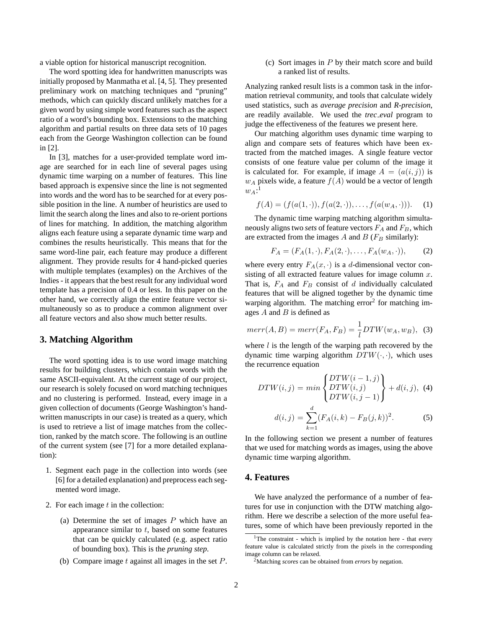a viable option for historical manuscript recognition.

The word spotting idea for handwritten manuscripts was initially proposed by Manmatha et al. [4, 5]. They presented preliminary work on matching techniques and "pruning" methods, which can quickly discard unlikely matches for a given word by using simple word features such as the aspect ratio of a word's bounding box. Extensions to the matching algorithm and partial results on three data sets of 10 pages each from the George Washington collection can be found in [2].

In [3], matches for a user-provided template word image are searched for in each line of several pages using dynamic time warping on a number of features. This line based approach is expensive since the line is not segmented into words and the word has to be searched for at every possible position in the line. A number of heuristics are used to limit the search along the lines and also to re-orient portions of lines for matching. In addition, the matching algorithm aligns each feature using a separate dynamic time warp and combines the results heuristically. This means that for the same word-line pair, each feature may produce a different alignment. They provide results for 4 hand-picked queries with multiple templates (examples) on the Archives of the Indies - it appears that the best result for any individual word template has a precision of 0.4 or less. In this paper on the other hand, we correctly align the entire feature vector simultaneously so as to produce a common alignment over all feature vectors and also show much better results.

## **3. Matching Algorithm**

The word spotting idea is to use word image matching results for building clusters, which contain words with the same ASCII-equivalent. At the current stage of our project, our research is solely focused on word matching techniques and no clustering is performed. Instead, every image in a given collection of documents (George Washington's handwritten manuscripts in our case) is treated as a query, which is used to retrieve a list of image matches from the collection, ranked by the match score. The following is an outline of the current system (see [7] for a more detailed explanation):

- 1. Segment each page in the collection into words (see [6] for a detailed explanation) and preprocess each segmented word image.
- 2. For each image  $t$  in the collection:
	- (a) Determine the set of images  $P$  which have an appearance similar to  $t$ , based on some features that can be quickly calculated (e.g. aspect ratio of bounding box). This is the *pruning step*.
	- (b) Compare image  $t$  against all images in the set  $P$ .

(c) Sort images in  $P$  by their match score and build a ranked list of results.

Analyzing ranked result lists is a common task in the information retrieval community, and tools that calculate widely used statistics, such as *average precision* and *R-precision*, are readily available. We used the *trec eval* program to judge the effectiveness of the features we present here.

Our matching algorithm uses dynamic time warping to align and compare sets of features which have been extracted from the matched images. A single feature vector consists of one feature value per column of the image it is calculated for. For example, if image  $A = (a(i, j))$  is  $w_A$  pixels wide, a feature  $f(A)$  would be a vector of length  $w_A$ :<sup>1</sup>

$$
f(A) = (f(a(1, \cdot)), f(a(2, \cdot)), \dots, f(a(w_A, \cdot))).
$$
 (1)

The dynamic time warping matching algorithm simultaneously aligns two *sets* of feature vectors  $F_A$  and  $F_B$ , which are extracted from the images  $A$  and  $B$  ( $F_B$  similarly):

$$
F_A = (F_A(1, \cdot), F_A(2, \cdot), \dots, F_A(w_A, \cdot)), \tag{2}
$$

where every entry  $F_A(x, \cdot)$  is a d-dimensional vector consisting of all extracted feature values for image column  $x$ . That is,  $F_A$  and  $F_B$  consist of d individually calculated features that will be aligned together by the dynamic time warping algorithm. The matching error<sup>2</sup> for matching images  $A$  and  $B$  is defined as

$$
merr(A, B) = merr(F_A, F_B) = \frac{1}{l} DTW(w_A, w_B),
$$
 (3)

where  $l$  is the length of the warping path recovered by the dynamic time warping algorithm  $DTW(\cdot, \cdot)$ , which uses the recurrence equation

$$
DTW(i,j) = min\left\{\begin{aligned} DTW(i-1,j) \\ DTW(i,j) \\ DTW(i,j-1) \end{aligned}\right\} + d(i,j), \tag{4}
$$

$$
d(i,j) = \sum_{k=1}^{d} (F_A(i,k) - F_B(j,k))^2. \tag{5}
$$

In the following section we present a number of features that we used for matching words as images, using the above dynamic time warping algorithm.

### **4. Features**

We have analyzed the performance of a number of features for use in conjunction with the DTW matching algorithm. Here we describe a selection of the more useful features, some of which have been previously reported in the

 $1$ The constraint - which is implied by the notation here - that every feature value is calculated strictly from the pixels in the corresponding image column can be relaxed.

<sup>2</sup>Matching *scores* can be obtained from *errors* by negation.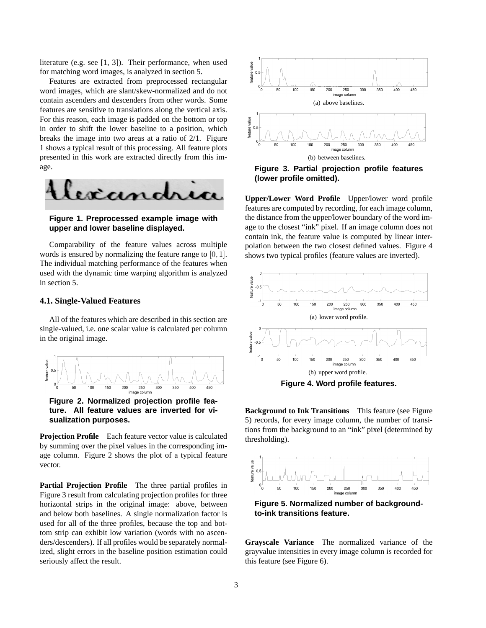literature (e.g. see [1, 3]). Their performance, when used for matching word images, is analyzed in section 5.

Features are extracted from preprocessed rectangular word images, which are slant/skew-normalized and do not contain ascenders and descenders from other words. Some features are sensitive to translations along the vertical axis. For this reason, each image is padded on the bottom or top in order to shift the lower baseline to a position, which breaks the image into two areas at a ratio of 2/1. Figure 1 shows a typical result of this processing. All feature plots presented in this work are extracted directly from this image.



**Figure 1. Preprocessed example image with upper and lower baseline displayed.**

Comparability of the feature values across multiple words is ensured by normalizing the feature range to [0, 1]. The individual matching performance of the features when used with the dynamic time warping algorithm is analyzed in section 5.

#### **4.1. Single-Valued Features**

All of the features which are described in this section are single-valued, i.e. one scalar value is calculated per column in the original image.



**Figure 2. Normalized projection profile feature. All feature values are inverted for visualization purposes.**

**Projection Profile** Each feature vector value is calculated by summing over the pixel values in the corresponding image column. Figure 2 shows the plot of a typical feature vector.

**Partial Projection Profile** The three partial profiles in Figure 3 result from calculating projection profiles for three horizontal strips in the original image: above, between and below both baselines. A single normalization factor is used for all of the three profiles, because the top and bottom strip can exhibit low variation (words with no ascenders/descenders). If all profiles would be separately normalized, slight errors in the baseline position estimation could seriously affect the result.



**Figure 3. Partial projection profile features (lower profile omitted).**

**Upper/Lower Word Profile** Upper/lower word profile features are computed by recording, for each image column, the distance from the upper/lower boundary of the word image to the closest "ink" pixel. If an image column does not contain ink, the feature value is computed by linear interpolation between the two closest defined values. Figure 4 shows two typical profiles (feature values are inverted).



**Background to Ink Transitions** This feature (see Figure 5) records, for every image column, the number of transitions from the background to an "ink" pixel (determined by thresholding).



**Figure 5. Normalized number of backgroundto-ink transitions feature.**

**Grayscale Variance** The normalized variance of the grayvalue intensities in every image column is recorded for this feature (see Figure 6).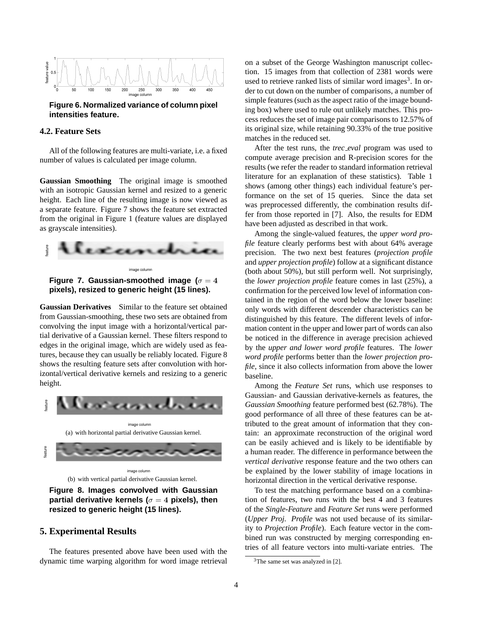

**Figure 6. Normalized variance of column pixel intensities feature.**

### **4.2. Feature Sets**

All of the following features are multi-variate, i.e. a fixed number of values is calculated per image column.

**Gaussian Smoothing** The original image is smoothed with an isotropic Gaussian kernel and resized to a generic height. Each line of the resulting image is now viewed as a separate feature. Figure 7 shows the feature set extracted from the original in Figure 1 (feature values are displayed as grayscale intensities).





**Gaussian Derivatives** Similar to the feature set obtained from Gaussian-smoothing, these two sets are obtained from convolving the input image with a horizontal/vertical partial derivative of a Gaussian kernel. These filters respond to edges in the original image, which are widely used as features, because they can usually be reliably located. Figure 8 shows the resulting feature sets after convolution with horizontal/vertical derivative kernels and resizing to a generic height.



**Figure 8. Images convolved with Gaussian partial derivative kernels (**σ = 4 **pixels), then resized to generic height (15 lines).**

#### **5. Experimental Results**

The features presented above have been used with the dynamic time warping algorithm for word image retrieval on a subset of the George Washington manuscript collection. 15 images from that collection of 2381 words were used to retrieve ranked lists of similar word images<sup>3</sup>. In order to cut down on the number of comparisons, a number of simple features (such as the aspect ratio of the image bounding box) where used to rule out unlikely matches. This process reduces the set of image pair comparisons to 12.57% of its original size, while retaining 90.33% of the true positive matches in the reduced set.

After the test runs, the *trec eval* program was used to compute average precision and R-precision scores for the results (we refer the reader to standard information retrieval literature for an explanation of these statistics). Table 1 shows (among other things) each individual feature's performance on the set of 15 queries. Since the data set was preprocessed differently, the combination results differ from those reported in [7]. Also, the results for EDM have been adjusted as described in that work.

Among the single-valued features, the *upper word profile* feature clearly performs best with about 64% average precision. The two next best features (*projection profile* and *upper projection profile*) follow at a significant distance (both about 50%), but still perform well. Not surprisingly, the *lower projection profile* feature comes in last (25%), a confirmation for the perceived low level of information contained in the region of the word below the lower baseline: only words with different descender characteristics can be distinguished by this feature. The different levels of information content in the upper and lower part of words can also be noticed in the difference in average precision achieved by the *upper and lower word profile* features. The *lower word profile* performs better than the *lower projection profile*, since it also collects information from above the lower baseline.

Among the *Feature Set* runs, which use responses to Gaussian- and Gaussian derivative-kernels as features, the *Gaussian Smoothing* feature performed best (62.78%). The good performance of all three of these features can be attributed to the great amount of information that they contain: an approximate reconstruction of the original word can be easily achieved and is likely to be identifiable by a human reader. The difference in performance between the *vertical derivative* response feature and the two others can be explained by the lower stability of image locations in horizontal direction in the vertical derivative response.

To test the matching performance based on a combination of features, two runs with the best 4 and 3 features of the *Single-Feature* and *Feature Set* runs were performed (*Upper Proj. Profile* was not used because of its similarity to *Projection Profile*). Each feature vector in the combined run was constructed by merging corresponding entries of all feature vectors into multi-variate entries. The

<sup>&</sup>lt;sup>3</sup>The same set was analyzed in [2].